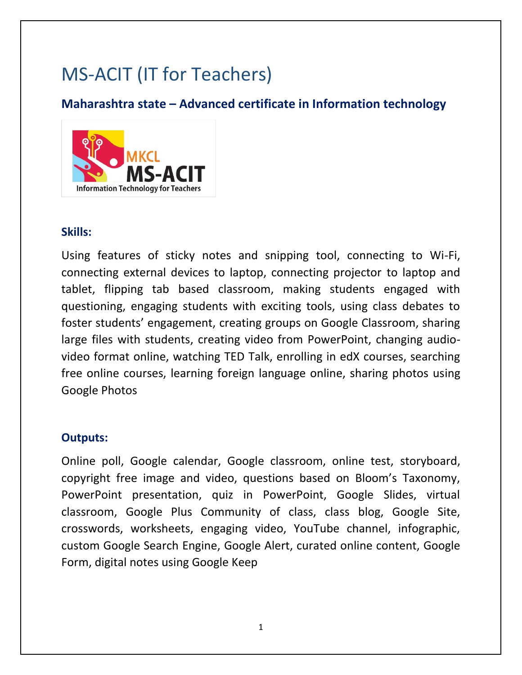# MS-ACIT (IT for Teachers)

## **Maharashtra state – Advanced certificate in Information technology**



#### **Skills:**

Using features of sticky notes and snipping tool, connecting to Wi-Fi, connecting external devices to laptop, connecting projector to laptop and tablet, flipping tab based classroom, making students engaged with questioning, engaging students with exciting tools, using class debates to foster students' engagement, creating groups on Google Classroom, sharing large files with students, creating video from PowerPoint, changing audiovideo format online, watching TED Talk, enrolling in edX courses, searching free online courses, learning foreign language online, sharing photos using Google Photos

### **Outputs:**

Online poll, Google calendar, Google classroom, online test, storyboard, copyright free image and video, questions based on Bloom's Taxonomy, PowerPoint presentation, quiz in PowerPoint, Google Slides, virtual classroom, Google Plus Community of class, class blog, Google Site, crosswords, worksheets, engaging video, YouTube channel, infographic, custom Google Search Engine, Google Alert, curated online content, Google Form, digital notes using Google Keep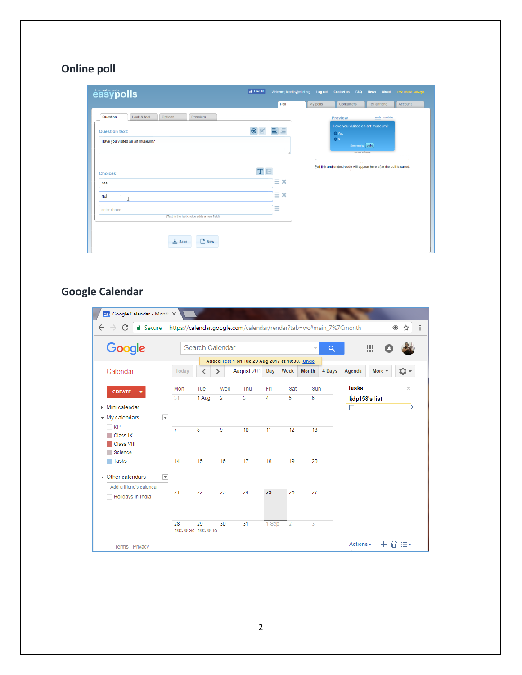# **Online poll**

| <b>easypolls</b>                                           | $\frac{1}{2}$ Like 4K   |                               | Welcome, krantip@mkcl.org Log out Contact us FAQ News About Free Online Surveys |                                                                    |               |               |
|------------------------------------------------------------|-------------------------|-------------------------------|---------------------------------------------------------------------------------|--------------------------------------------------------------------|---------------|---------------|
|                                                            |                         | Poll                          | My polls                                                                        | Containers                                                         | Tell a friend | Account       |
| Look & feel<br>Options<br>Question<br>Premium              |                         |                               |                                                                                 | <b>Preview</b>                                                     | web mobile    |               |
| <b>Question text:</b>                                      | $\mathbf{N}$<br>$\odot$ | 目目                            |                                                                                 | Have you visited an art museum?<br>O Yes                           |               |               |
| Have you visited an art museum?                            |                         |                               |                                                                                 | <b>ON</b><br>See results vote<br>survey software                   |               |               |
| <b>Choices:</b>                                            | TE                      |                               |                                                                                 | Poll link and embed-code will appear here after the poll is saved. |               | <b>Garage</b> |
| Yes                                                        |                         | $\equiv$ $\times$             |                                                                                 |                                                                    |               |               |
| Nol<br>r.                                                  |                         | $\equiv$ $\times$             |                                                                                 |                                                                    |               |               |
| enter choice<br>(Text in the last choice adds a new field) |                         | $\overline{\phantom{a}}$<br>Ξ |                                                                                 |                                                                    |               |               |
| $\pm$ Save<br>new                                          |                         |                               |                                                                                 |                                                                    |               |               |

# **Google Calendar**

| 25 Google Calendar - Month X                                                                                    |       |                         |                |                                                              |       |                |              |        |              |                           |                     |                    |
|-----------------------------------------------------------------------------------------------------------------|-------|-------------------------|----------------|--------------------------------------------------------------|-------|----------------|--------------|--------|--------------|---------------------------|---------------------|--------------------|
| $\leftarrow$ $\rightarrow$<br>C<br>■ Secure   https://calendar.google.com/calendar/render?tab=wc#main_7%7Cmonth |       |                         |                |                                                              |       |                |              |        |              |                           | ☆<br>◈              | $\ddot{\ddot{\ }}$ |
| Google                                                                                                          |       | Search Calendar         |                |                                                              |       |                |              | Q      |              | 排                         |                     |                    |
| Calendar                                                                                                        | Today |                         |                | Added Test 1 on Tue 29 Aug 2017 at 10:30. Undo<br>August 201 | Day   | Week           | <b>Month</b> | 4 Days | Agenda       | More $\blacktriangledown$ | ¤ -                 |                    |
| CREATE                                                                                                          | Mon   | Tue                     | Wed            | Thu                                                          | Fri   | Sat            | Sun          |        | <b>Tasks</b> |                           | $\overline{\times}$ |                    |
|                                                                                                                 | 31    | 1 Aug                   | $\overline{2}$ | 3                                                            | 4     | 5              | 6            |        |              | kdp158's list             |                     |                    |
| $\triangleright$ Mini calendar<br>$\star$ My calendars<br>$\overline{\phantom{a}}$                              |       |                         |                |                                                              |       |                |              |        | ⊏            |                           | >                   |                    |
| R<br>Class IX<br>Class VIII<br>Science                                                                          | 7     | 8                       | 9              | 10                                                           | 11    | 12             | 13           |        |              |                           |                     |                    |
| Tasks<br>$\sim$ Other calendars<br>$\overline{\phantom{a}}$<br>Add a friend's calendar                          | 14    | 15                      | 16             | 17                                                           | 18    | 19             | 20           |        |              |                           |                     |                    |
| Holidays in India                                                                                               | 21    | 22                      | 23             | 24                                                           | 25    | 26             | 27           |        |              |                           |                     |                    |
| Terms - Privacy                                                                                                 | 28    | 29<br>10:30 Sc 10:30 Te | 30             | 31                                                           | 1 Sep | $\overline{2}$ | 3            |        | Actions >    |                           | m                   |                    |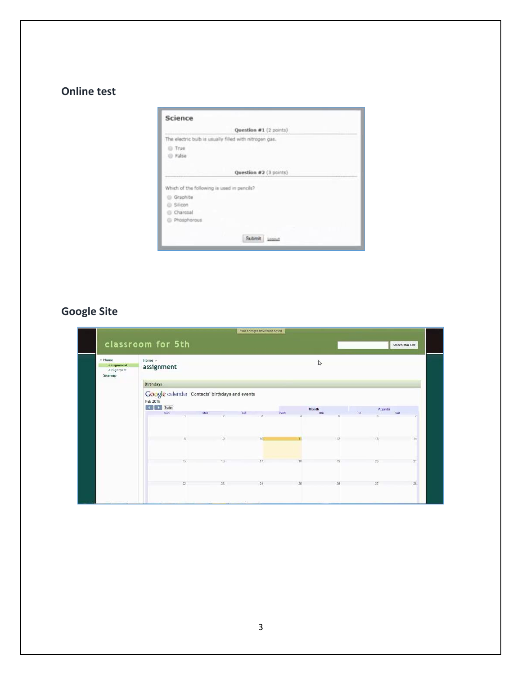#### **Online test**

|                                                        | Question #1 (2 points) |
|--------------------------------------------------------|------------------------|
| The electric bulb is usually filled with nitrogen gas. |                        |
| <b>C</b> True                                          |                        |
| C) False                                               |                        |
|                                                        |                        |
|                                                        |                        |
|                                                        | Question #2 (3 points) |
|                                                        |                        |
| Which of the following is used in pencils?             |                        |
|                                                        |                        |
| Graphite                                               |                        |
| o                                                      |                        |
| <b>Silicon</b>                                         |                        |
| Charcoal                                               |                        |
| <b>Phosphorous</b><br>o                                |                        |
|                                                        |                        |

## **Google Site**

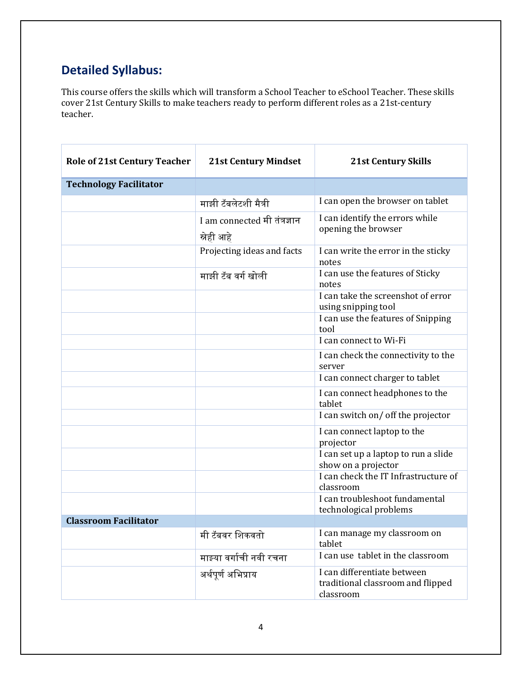## **Detailed Syllabus:**

This course offers the skills which will transform a School Teacher to eSchool Teacher. These skills cover 21st Century Skills to make teachers ready to perform different roles as a 21st-century teacher.

| <b>Role of 21st Century Teacher</b> | <b>21st Century Mindset</b>                | <b>21st Century Skills</b>                                                    |
|-------------------------------------|--------------------------------------------|-------------------------------------------------------------------------------|
| <b>Technology Facilitator</b>       |                                            |                                                                               |
|                                     | माझी टॅबलेटशी मैत्री                       | I can open the browser on tablet                                              |
|                                     | I am connected मी तंत्रज्ञान<br>स्नेही आहे | I can identify the errors while<br>opening the browser                        |
|                                     | Projecting ideas and facts                 | I can write the error in the sticky<br>notes                                  |
|                                     | माझी टॅब वर्ग खोली                         | I can use the features of Sticky<br>notes                                     |
|                                     |                                            | I can take the screenshot of error<br>using snipping tool                     |
|                                     |                                            | I can use the features of Snipping<br>tool                                    |
|                                     |                                            | I can connect to Wi-Fi                                                        |
|                                     |                                            | I can check the connectivity to the<br>server                                 |
|                                     |                                            | I can connect charger to tablet                                               |
|                                     |                                            | I can connect headphones to the<br>tablet                                     |
|                                     |                                            | I can switch on/ off the projector                                            |
|                                     |                                            | I can connect laptop to the<br>projector                                      |
|                                     |                                            | I can set up a laptop to run a slide<br>show on a projector                   |
|                                     |                                            | I can check the IT Infrastructure of<br>classroom                             |
|                                     |                                            | I can troubleshoot fundamental<br>technological problems                      |
| <b>Classroom Facilitator</b>        |                                            |                                                                               |
|                                     | मी टॅबवर शिकवतो                            | I can manage my classroom on<br>tablet                                        |
|                                     | माझ्या वर्गाची नवी रचना                    | I can use tablet in the classroom                                             |
|                                     | अर्थपूर्ण अभिप्राय                         | I can differentiate between<br>traditional classroom and flipped<br>classroom |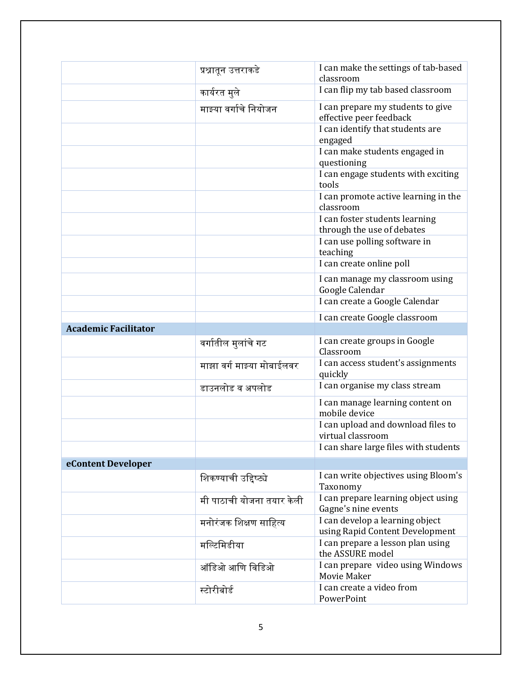|                             | प्रश्नातून उत्तराकडे      | I can make the settings of tab-based<br>classroom                  |
|-----------------------------|---------------------------|--------------------------------------------------------------------|
|                             | कार्यरत मुले              | I can flip my tab based classroom                                  |
|                             | माझ्या वर्गाचे नियोजन     | I can prepare my students to give<br>effective peer feedback       |
|                             |                           | I can identify that students are<br>engaged                        |
|                             |                           | I can make students engaged in<br>questioning                      |
|                             |                           | I can engage students with exciting<br>tools                       |
|                             |                           | I can promote active learning in the<br>classroom                  |
|                             |                           | I can foster students learning<br>through the use of debates       |
|                             |                           | I can use polling software in<br>teaching                          |
|                             |                           | I can create online poll                                           |
|                             |                           | I can manage my classroom using<br>Google Calendar                 |
|                             |                           | I can create a Google Calendar                                     |
|                             |                           | I can create Google classroom                                      |
| <b>Academic Facilitator</b> |                           |                                                                    |
|                             | वर्गातील मुलांचे गट       | I can create groups in Google<br>Classroom                         |
|                             | माझा वर्ग माझ्या मोबाईलवर | I can access student's assignments<br>quickly                      |
|                             | डाउनलोड व अपलोड           | I can organise my class stream                                     |
|                             |                           | I can manage learning content on<br>mobile device                  |
|                             |                           | I can upload and download files to<br>virtual classroom            |
|                             |                           | I can share large files with students                              |
| eContent Developer          |                           |                                                                    |
|                             | शिकण्याची उद्दिष्ट्ये     | I can write objectives using Bloom's<br>Taxonomy                   |
|                             | मी पाठाची योजना तयार केली | I can prepare learning object using<br>Gagne's nine events         |
|                             | मनोरंजक शिक्षण साहित्य    | I can develop a learning object<br>using Rapid Content Development |
|                             | मल्टिमिडीया               | I can prepare a lesson plan using<br>the ASSURE model              |
|                             | ऑडिओ आणि विडिओ            | I can prepare video using Windows<br>Movie Maker                   |
|                             | स्टोरीबोर्ड               | I can create a video from<br>PowerPoint                            |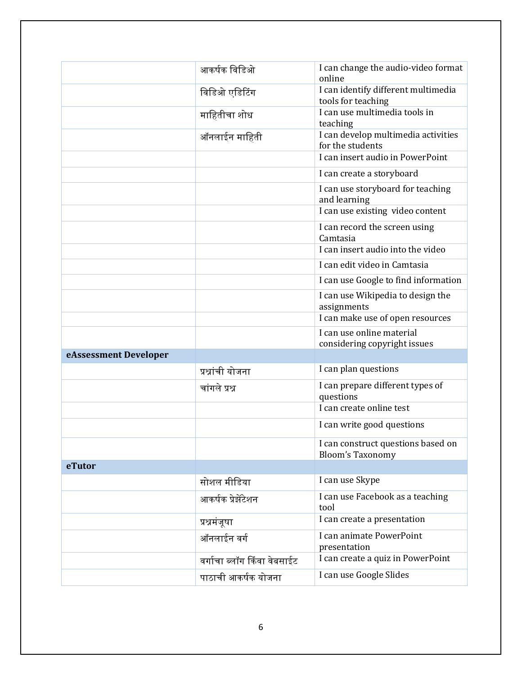|                       | आकर्षक विडिओ                | I can change the audio-video format<br>online                 |
|-----------------------|-----------------------------|---------------------------------------------------------------|
|                       | विडिओ एडिटिंग               | I can identify different multimedia<br>tools for teaching     |
|                       | माहितीचा शोध                | I can use multimedia tools in<br>teaching                     |
|                       | ऑनलाईन माहिती               | I can develop multimedia activities<br>for the students       |
|                       |                             | I can insert audio in PowerPoint                              |
|                       |                             | I can create a storyboard                                     |
|                       |                             | I can use storyboard for teaching<br>and learning             |
|                       |                             | I can use existing video content                              |
|                       |                             | I can record the screen using<br>Camtasia                     |
|                       |                             | I can insert audio into the video                             |
|                       |                             | I can edit video in Camtasia                                  |
|                       |                             | I can use Google to find information                          |
|                       |                             | I can use Wikipedia to design the<br>assignments              |
|                       |                             | I can make use of open resources                              |
|                       |                             | I can use online material<br>considering copyright issues     |
| eAssessment Developer |                             |                                                               |
|                       | प्रश्नांची योजना            | I can plan questions                                          |
|                       | चांगले प्रश्न               | I can prepare different types of<br>questions                 |
|                       |                             | I can create online test                                      |
|                       |                             | I can write good questions                                    |
|                       |                             | I can construct questions based on<br><b>Bloom's Taxonomy</b> |
| eTutor                |                             |                                                               |
|                       | सोशल मीडिया                 | I can use Skype                                               |
|                       | आकर्षक प्रेझेंटेशन          | I can use Facebook as a teaching<br>tool                      |
|                       | प्रश्नमंजूषा                | I can create a presentation                                   |
|                       | ऑनलाईन वर्ग                 | I can animate PowerPoint<br>presentation                      |
|                       | वर्गाचा ब्लॉग किंवा वेबसाईट | I can create a quiz in PowerPoint                             |
|                       | पाठाची आकर्षक योजना         | I can use Google Slides                                       |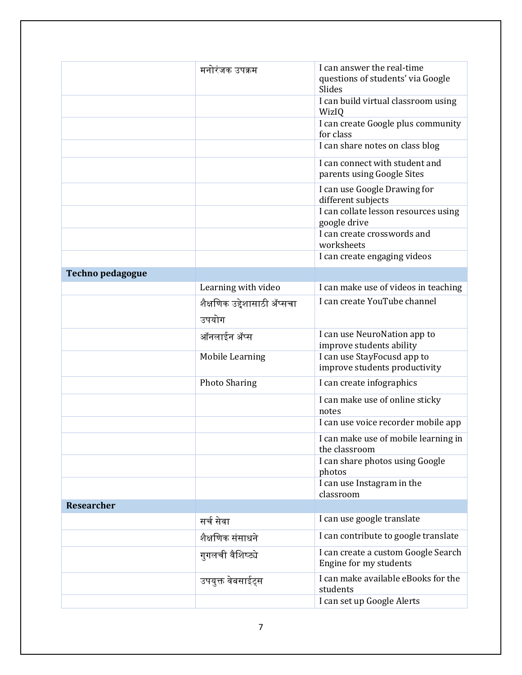|                         | मनोरंजक उपक्रम               | I can answer the real-time<br>questions of students' via Google<br>Slides |
|-------------------------|------------------------------|---------------------------------------------------------------------------|
|                         |                              | I can build virtual classroom using<br>WizIQ                              |
|                         |                              | I can create Google plus community<br>for class                           |
|                         |                              | I can share notes on class blog                                           |
|                         |                              | I can connect with student and<br>parents using Google Sites              |
|                         |                              | I can use Google Drawing for<br>different subjects                        |
|                         |                              | I can collate lesson resources using<br>google drive                      |
|                         |                              | I can create crosswords and<br>worksheets                                 |
|                         |                              | I can create engaging videos                                              |
| <b>Techno pedagogue</b> |                              |                                                                           |
|                         | Learning with video          | I can make use of videos in teaching                                      |
|                         | शैक्षणिक उद्देशासाठी अॅप्सचा | I can create YouTube channel                                              |
|                         | उपयोग                        |                                                                           |
|                         | ऑनलाईन ॲप्स                  | I can use NeuroNation app to<br>improve students ability                  |
|                         | Mobile Learning              | I can use StayFocusd app to<br>improve students productivity              |
|                         | <b>Photo Sharing</b>         | I can create infographics                                                 |
|                         |                              | I can make use of online sticky<br>notes                                  |
|                         |                              | I can use voice recorder mobile app                                       |
|                         |                              | I can make use of mobile learning in<br>the classroom                     |
|                         |                              | I can share photos using Google<br>photos                                 |
|                         |                              | I can use Instagram in the<br>classroom                                   |
| <b>Researcher</b>       |                              |                                                                           |
|                         | सर्च सेवा                    | I can use google translate                                                |
|                         | शैक्षणिक संसाधने             | I can contribute to google translate                                      |
|                         | गुगलची वैशिष्ट्ये            | I can create a custom Google Search<br>Engine for my students             |
|                         | उपयुक्त वेबसाईट्स            | I can make available eBooks for the<br>students                           |
|                         |                              | I can set up Google Alerts                                                |